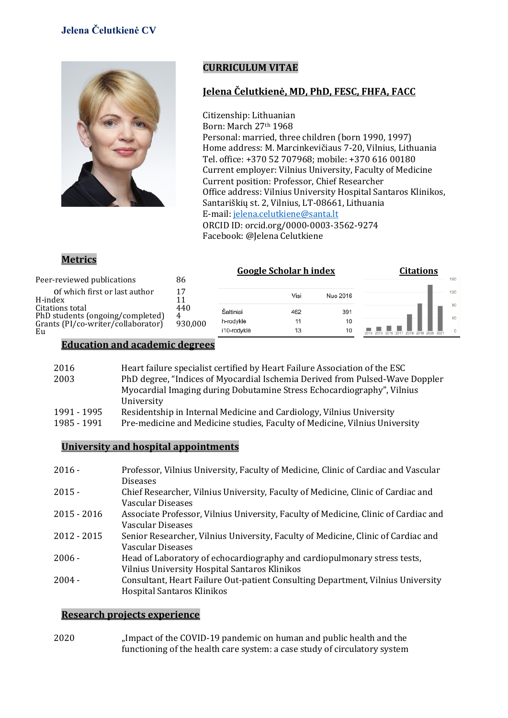# **Jelena Čelutkienė CV**



## **CURRICULUM VITAE**

#### **Jelena Čelutkienė, MD, PhD, FESC, FHFA, FACC**

Citizenship: Lithuanian Born: March 27th 1968 Personal: married, three children (born 1990, 1997) Home address: M. Marcinkevičiaus 7-20, Vilnius, Lithuania Tel. office: +370 52 707968; mobile: +370 616 00180 Current employer: Vilnius University, Faculty of Medicine Current position: Professor, Chief Researcher Office address: Vilnius University Hospital Santaros Klinikos, Santariškių st. 2, Vilnius, LT-08661, Lithuania E-mail[: jelena.celutkiene@santa.lt](mailto:jelena.celutkiene@santa.lt) ORCID ID[: orcid.org/0000-0003-3562-9274](https://orcid.org/0000-0003-3562-9274) Facebook: @Jelena Celutkiene

#### **Metrics**

|                                                                        |         |             | <b>Google Scholar h index</b> |          | <b>Citations</b> |     |     |
|------------------------------------------------------------------------|---------|-------------|-------------------------------|----------|------------------|-----|-----|
| Peer-reviewed publications                                             | 86      |             |                               |          |                  | 160 |     |
| Of which first or last author<br>H-index                               | 17      |             | Visi                          | Nuo 2016 |                  |     | 120 |
| Citations total                                                        | 440     | Šaltiniai   | 462                           | 391      |                  |     | 80  |
| PhD students (ongoing/completed)<br>Grants (PI/co-writer/collaborator) | 930,000 | h-rodvklė   | 11                            | 10       |                  |     | 40  |
| Eu                                                                     |         | i10-rodyklė | 13                            | 10       |                  |     |     |

#### **Education and academic degrees**

| 2016        | Heart failure specialist certified by Heart Failure Association of the ESC   |
|-------------|------------------------------------------------------------------------------|
| 2003        | PhD degree, "Indices of Myocardial Ischemia Derived from Pulsed-Wave Doppler |
|             | Myocardial Imaging during Dobutamine Stress Echocardiography", Vilnius       |
|             | University                                                                   |
| 1991 - 1995 | Residentship in Internal Medicine and Cardiology, Vilnius University         |
| 1985 - 1991 | Pre-medicine and Medicine studies, Faculty of Medicine, Vilnius University   |

#### **University and hospital appointments**

| $2016 -$    | Professor, Vilnius University, Faculty of Medicine, Clinic of Cardiac and Vascular  |
|-------------|-------------------------------------------------------------------------------------|
|             | <b>Diseases</b>                                                                     |
| $2015 -$    | Chief Researcher, Vilnius University, Faculty of Medicine, Clinic of Cardiac and    |
|             | Vascular Diseases                                                                   |
| 2015 - 2016 | Associate Professor, Vilnius University, Faculty of Medicine, Clinic of Cardiac and |
|             | Vascular Diseases                                                                   |
| 2012 - 2015 | Senior Researcher, Vilnius University, Faculty of Medicine, Clinic of Cardiac and   |
|             | Vascular Diseases                                                                   |
| $2006 -$    | Head of Laboratory of echocardiography and cardiopulmonary stress tests,            |
|             | Vilnius University Hospital Santaros Klinikos                                       |
| $2004 -$    | Consultant, Heart Failure Out-patient Consulting Department, Vilnius University     |
|             | Hospital Santaros Klinikos                                                          |

#### **Research projects experience**

2020 "Impact of the COVID-19 pandemic on human and public health and the functioning of the health care system: a case study of circulatory system